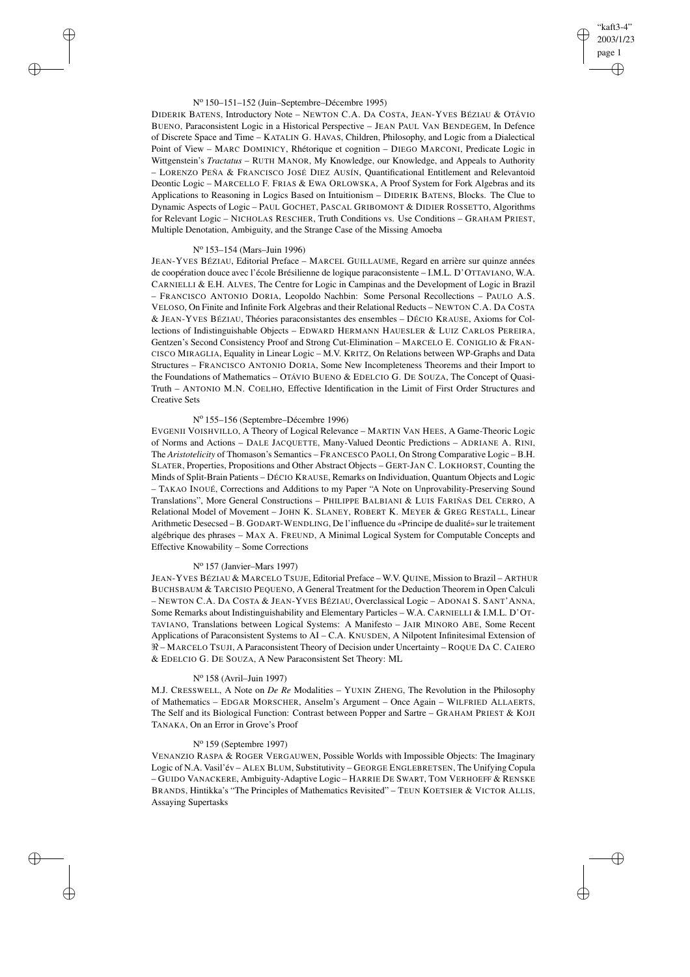## "kaft3-4" 2003/1/23 page 1 ✐ ✐

✐

✐

### N<sup>o</sup> 150–151–152 (Juin–Septembre–Décembre 1995)

DIDERIK BATENS, Introductory Note – NEWTON C.A. DA COSTA, JEAN-YVES BÉZIAU & OTÁVIO BUENO, Paraconsistent Logic in a Historical Perspective – JEAN PAUL VAN BENDEGEM, In Defence of Discrete Space and Time – KATALIN G. HAVAS, Children, Philosophy, and Logic from a Dialectical Point of View – MARC DOMINICY, Rhétorique et cognition – DIEGO MARCONI, Predicate Logic in Wittgenstein's *Tractatus* – RUTH MANOR, My Knowledge, our Knowledge, and Appeals to Authority – LORENZO PEÑA & FRANCISCO JOSÉ DIEZ AUSÍN, Quantificational Entitlement and Relevantoid Deontic Logic – MARCELLO F. FRIAS & EWA ORLOWSKA, A Proof System for Fork Algebras and its Applications to Reasoning in Logics Based on Intuitionism – DIDERIK BATENS, Blocks. The Clue to Dynamic Aspects of Logic – PAUL GOCHET, PASCAL GRIBOMONT & DIDIER ROSSETTO, Algorithms for Relevant Logic – NICHOLAS RESCHER, Truth Conditions vs. Use Conditions – GRAHAM PRIEST, Multiple Denotation, Ambiguity, and the Strange Case of the Missing Amoeba

## N<sup>o</sup> 153–154 (Mars–Juin 1996)

 $\rightarrow$ 

✐

✐

✐

JEAN-YVES BÉZIAU, Editorial Preface – MARCEL GUILLAUME, Regard en arrière sur quinze années de coopération douce avec l'école Brésilienne de logique paraconsistente – I.M.L. D'OTTAVIANO, W.A. CARNIELLI & E.H. ALVES, The Centre for Logic in Campinas and the Development of Logic in Brazil – FRANCISCO ANTONIO DORIA, Leopoldo Nachbin: Some Personal Recollections – PAULO A.S. VELOSO, On Finite and Infinite Fork Algebras and their Relational Reducts – NEWTON C.A. DA COSTA & JEAN-YVES BÉZIAU, Théories paraconsistantes des ensembles – DÉCIO KRAUSE, Axioms for Collections of Indistinguishable Objects – EDWARD HERMANN HAUESLER & LUIZ CARLOS PEREIRA, Gentzen's Second Consistency Proof and Strong Cut-Elimination – MARCELO E. CONIGLIO & FRAN-CISCO MIRAGLIA, Equality in Linear Logic – M.V. KRITZ, On Relations between WP-Graphs and Data Structures – FRANCISCO ANTONIO DORIA, Some New Incompleteness Theorems and their Import to the Foundations of Mathematics – OTÁVIO BUENO & EDELCIO G. DE SOUZA, The Concept of Quasi-Truth – ANTONIO M.N. COELHO, Effective Identification in the Limit of First Order Structures and Creative Sets

## N<sup>o</sup> 155–156 (Septembre–Décembre 1996)

EVGENII VOISHVILLO, A Theory of Logical Relevance – MARTIN VAN HEES, A Game-Theoric Logic of Norms and Actions – DALE JACQUETTE, Many-Valued Deontic Predictions – ADRIANE A. RINI, The *Aristotelicity* of Thomason's Semantics – FRANCESCO PAOLI, On Strong Comparative Logic – B.H. SLATER, Properties, Propositions and Other Abstract Objects – GERT-JAN C. LOKHORST, Counting the Minds of Split-Brain Patients – DÉCIO KRAUSE, Remarks on Individuation, Quantum Objects and Logic – TAKAO INOUÉ, Corrections and Additions to my Paper "A Note on Unprovability-Preserving Sound Translations", More General Constructions – PHILIPPE BALBIANI & LUIS FARIÑAS DEL CERRO, A Relational Model of Movement – JOHN K. SLANEY, ROBERT K. MEYER & GREG RESTALL, Linear Arithmetic Desecsed – B. GODART-WENDLING, De l'influence du «Principe de dualité» sur le traitement algébrique des phrases – MAX A. FREUND, A Minimal Logical System for Computable Concepts and Effective Knowability – Some Corrections

## N<sup>o</sup> 157 (Janvier–Mars 1997)

JEAN-YVES BÉZIAU & MARCELO TSUJE, Editorial Preface – W.V. QUINE, Mission to Brazil – ARTHUR BUCHSBAUM & TARCISIO PEQUENO, A General Treatment for the Deduction Theorem in Open Calculi – NEWTON C.A. DA COSTA & JEAN-YVES BÉZIAU, Overclassical Logic – ADONAI S. SANT'ANNA, Some Remarks about Indistinguishability and Elementary Particles – W.A. CARNIELLI & I.M.L. D'OT-TAVIANO, Translations between Logical Systems: A Manifesto – JAIR MINORO ABE, Some Recent Applications of Paraconsistent Systems to AI – C.A. KNUSDEN, A Nilpotent Infinitesimal Extension of  $\Re$  – MARCELO TSUJI, A Paraconsistent Theory of Decision under Uncertainty – ROQUE DA C. CAIERO & EDELCIO G. DE SOUZA, A New Paraconsistent Set Theory: ML

# N<sup>o</sup> 158 (Avril–Juin 1997)

M.J. CRESSWELL, A Note on *De Re* Modalities – YUXIN ZHENG, The Revolution in the Philosophy of Mathematics – EDGAR MORSCHER, Anselm's Argument – Once Again – WILFRIED ALLAERTS, The Self and its Biological Function: Contrast between Popper and Sartre – GRAHAM PRIEST & KOJI TANAKA, On an Error in Grove's Proof

## N<sup>o</sup> 159 (Septembre 1997)

VENANZIO RASPA & ROGER VERGAUWEN, Possible Worlds with Impossible Objects: The Imaginary Logic of N.A. Vasil'év – ALEX BLUM, Substitutivity – GEORGE ENGLEBRETSEN, The Unifying Copula – GUIDO VANACKERE, Ambiguity-Adaptive Logic – HARRIE DE SWART, TOM VERHOEFF & RENSKE BRANDS, Hintikka's "The Principles of Mathematics Revisited" – TEUN KOETSIER & VICTOR ALLIS, Assaying Supertasks